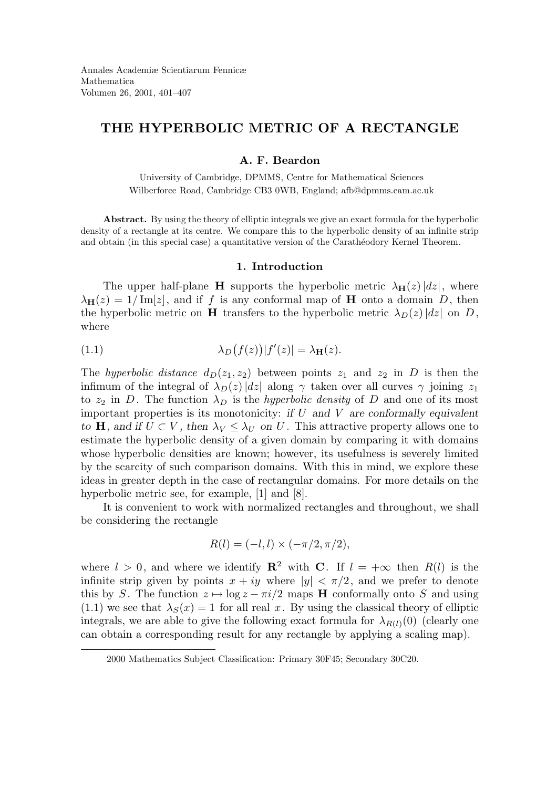# THE HYPERBOLIC METRIC OF A RECTANGLE

# A. F. Beardon

University of Cambridge, DPMMS, Centre for Mathematical Sciences Wilberforce Road, Cambridge CB3 0WB, England; afb@dpmms.cam.ac.uk

Abstract. By using the theory of elliptic integrals we give an exact formula for the hyperbolic density of a rectangle at its centre. We compare this to the hyperbolic density of an infinite strip and obtain (in this special case) a quantitative version of the Carathéodory Kernel Theorem.

### 1. Introduction

The upper half-plane **H** supports the hyperbolic metric  $\lambda_{\mathbf{H}}(z)|dz|$ , where  $\lambda_{\mathbf{H}}(z) = 1/\mathrm{Im}[z]$ , and if f is any conformal map of **H** onto a domain D, then the hyperbolic metric on **H** transfers to the hyperbolic metric  $\lambda_D(z)|dz|$  on D, where

(1.1) 
$$
\lambda_D(f(z))|f'(z)| = \lambda_H(z).
$$

The hyperbolic distance  $d_D(z_1, z_2)$  between points  $z_1$  and  $z_2$  in D is then the infimum of the integral of  $\lambda_D(z)|dz|$  along  $\gamma$  taken over all curves  $\gamma$  joining  $z_1$ to  $z_2$  in D. The function  $\lambda_D$  is the *hyperbolic density* of D and one of its most important properties is its monotonicity: if  $U$  and  $V$  are conformally equivalent to H, and if  $U \subset V$ , then  $\lambda_V \leq \lambda_U$  on U. This attractive property allows one to estimate the hyperbolic density of a given domain by comparing it with domains whose hyperbolic densities are known; however, its usefulness is severely limited by the scarcity of such comparison domains. With this in mind, we explore these ideas in greater depth in the case of rectangular domains. For more details on the hyperbolic metric see, for example, [1] and [8].

It is convenient to work with normalized rectangles and throughout, we shall be considering the rectangle

$$
R(l) = (-l, l) \times (-\pi/2, \pi/2),
$$

where  $l > 0$ , and where we identify  $\mathbb{R}^2$  with C. If  $l = +\infty$  then  $R(l)$  is the infinite strip given by points  $x + iy$  where  $|y| < \pi/2$ , and we prefer to denote this by S. The function  $z \mapsto \log z - \pi i/2$  maps H conformally onto S and using  $(1.1)$  we see that  $\lambda_S(x) = 1$  for all real x. By using the classical theory of elliptic integrals, we are able to give the following exact formula for  $\lambda_{B(l)}(0)$  (clearly one can obtain a corresponding result for any rectangle by applying a scaling map).

<sup>2000</sup> Mathematics Subject Classification: Primary 30F45; Secondary 30C20.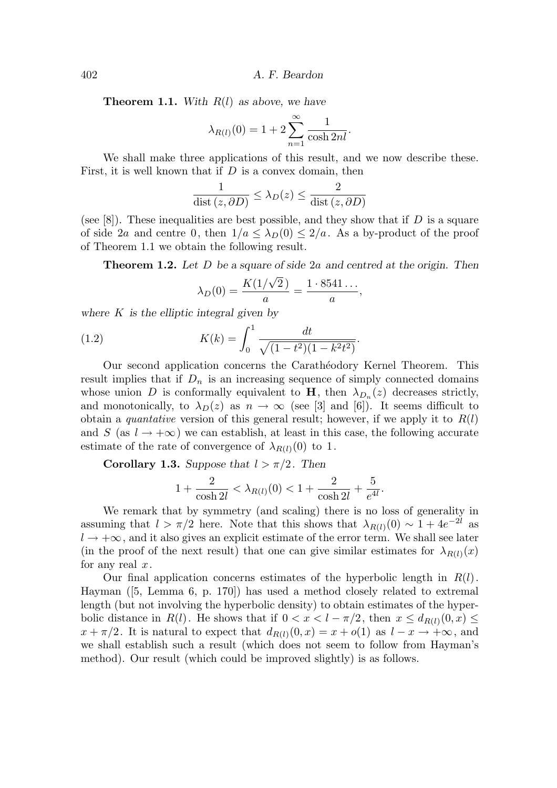402 A. F. Beardon

**Theorem 1.1.** With  $R(l)$  as above, we have

$$
\lambda_{R(l)}(0) = 1 + 2 \sum_{n=1}^{\infty} \frac{1}{\cosh 2nl}.
$$

We shall make three applications of this result, and we now describe these. First, it is well known that if  $D$  is a convex domain, then

$$
\frac{1}{\text{dist}(z, \partial D)} \le \lambda_D(z) \le \frac{2}{\text{dist}(z, \partial D)}
$$

(see [8]). These inequalities are best possible, and they show that if  $D$  is a square of side 2a and centre 0, then  $1/a < \lambda_D(0) < 2/a$ . As a by-product of the proof of Theorem 1.1 we obtain the following result.

**Theorem 1.2.** Let D be a square of side 2a and centred at the origin. Then

$$
\lambda_D(0) = \frac{K(1/\sqrt{2})}{a} = \frac{1 \cdot 8541 \dots}{a},
$$

where  $K$  is the elliptic integral given by

(1.2) 
$$
K(k) = \int_0^1 \frac{dt}{\sqrt{(1 - t^2)(1 - k^2 t^2)}}.
$$

Our second application concerns the Carathéodory Kernel Theorem. This result implies that if  $D_n$  is an increasing sequence of simply connected domains whose union D is conformally equivalent to  $H$ , then  $\lambda_{D_n}(z)$  decreases strictly, and monotonically, to  $\lambda_D(z)$  as  $n \to \infty$  (see [3] and [6]). It seems difficult to obtain a *quantative* version of this general result; however, if we apply it to  $R(l)$ and S (as  $l \rightarrow +\infty$ ) we can establish, at least in this case, the following accurate estimate of the rate of convergence of  $\lambda_{R(l)}(0)$  to 1.

**Corollary 1.3.** Suppose that  $l > \pi/2$ . Then

$$
1+\frac{2}{\cosh 2l}<\lambda_{R(l)}(0)<1+\frac{2}{\cosh 2l}+\frac{5}{e^{4l}}.
$$

We remark that by symmetry (and scaling) there is no loss of generality in assuming that  $l > \pi/2$  here. Note that this shows that  $\lambda_{R(l)}(0) \sim 1 + 4e^{-2l}$  as  $l \rightarrow +\infty$ , and it also gives an explicit estimate of the error term. We shall see later (in the proof of the next result) that one can give similar estimates for  $\lambda_{R(l)}(x)$ for any real  $x$ .

Our final application concerns estimates of the hyperbolic length in  $R(l)$ . Hayman ([5, Lemma 6, p. 170]) has used a method closely related to extremal length (but not involving the hyperbolic density) to obtain estimates of the hyperbolic distance in  $R(l)$ . He shows that if  $0 < x < l - \pi/2$ , then  $x \le d_{R(l)}(0, x) \le$  $x + \pi/2$ . It is natural to expect that  $d_{R(l)}(0, x) = x + o(1)$  as  $l - x \rightarrow +\infty$ , and we shall establish such a result (which does not seem to follow from Hayman's method). Our result (which could be improved slightly) is as follows.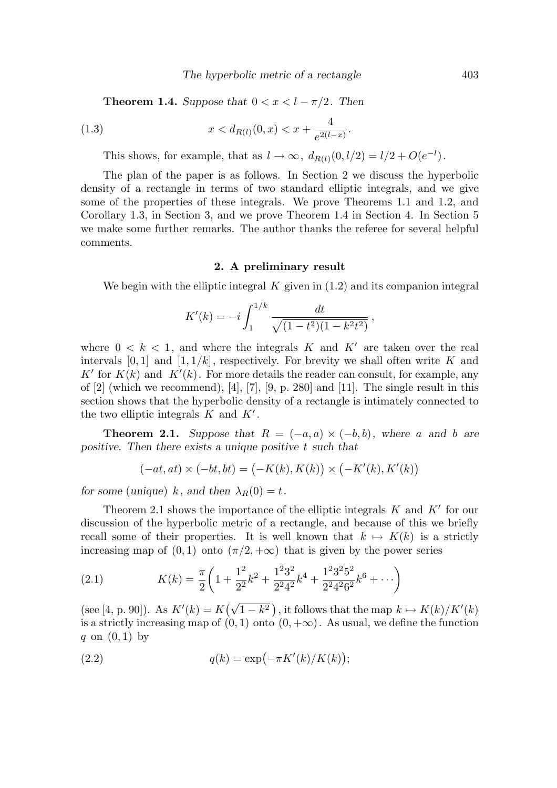**Theorem 1.4.** Suppose that  $0 < x < l - \pi/2$ . Then

(1.3) 
$$
x < d_{R(l)}(0, x) < x + \frac{4}{e^{2(l-x)}}.
$$

This shows, for example, that as  $l \to \infty$ ,  $d_{R(l)}(0, l/2) = l/2 + O(e^{-l})$ .

The plan of the paper is as follows. In Section 2 we discuss the hyperbolic density of a rectangle in terms of two standard elliptic integrals, and we give some of the properties of these integrals. We prove Theorems 1.1 and 1.2, and Corollary 1.3, in Section 3, and we prove Theorem 1.4 in Section 4. In Section 5 we make some further remarks. The author thanks the referee for several helpful comments.

## 2. A preliminary result

We begin with the elliptic integral  $K$  given in  $(1.2)$  and its companion integral

$$
K'(k) = -i \int_1^{1/k} \frac{dt}{\sqrt{(1 - t^2)(1 - k^2 t^2)}},
$$

where  $0 \leq k \leq 1$ , and where the integrals K and K' are taken over the real intervals  $[0, 1]$  and  $[1, 1/k]$ , respectively. For brevity we shall often write K and K' for  $K(k)$  and  $K'(k)$ . For more details the reader can consult, for example, any of  $[2]$  (which we recommend),  $[4]$ ,  $[7]$ ,  $[9, p. 280]$  and  $[11]$ . The single result in this section shows that the hyperbolic density of a rectangle is intimately connected to the two elliptic integrals  $K$  and  $K'$ .

**Theorem 2.1.** Suppose that  $R = (-a, a) \times (-b, b)$ , where a and b are positive. Then there exists a unique positive  $t$  such that

$$
(-at,at)\times (-bt,bt)=\bigl(-K(k),K(k)\bigr)\times \bigl(-K'(k),K'(k)\bigr)
$$

for some (unique) k, and then  $\lambda_R(0) = t$ .

Theorem 2.1 shows the importance of the elliptic integrals  $K$  and  $K'$  for our discussion of the hyperbolic metric of a rectangle, and because of this we briefly recall some of their properties. It is well known that  $k \mapsto K(k)$  is a strictly increasing map of  $(0, 1)$  onto  $(\pi/2, +\infty)$  that is given by the power series

(2.1) 
$$
K(k) = \frac{\pi}{2} \left( 1 + \frac{1^2}{2^2} k^2 + \frac{1^2 3^2}{2^2 4^2} k^4 + \frac{1^2 3^2 5^2}{2^2 4^2 6^2} k^6 + \cdots \right)
$$

(see [4, p. 90]). As  $K'(k) = K(\sqrt{1-k^2})$ , it follows that the map  $k \mapsto K(k)/K'(k)$ is a strictly increasing map of  $(0, 1)$  onto  $(0, +\infty)$ . As usual, we define the function q on  $(0, 1)$  by

(2.2) 
$$
q(k) = \exp\left(-\pi K'(k)/K(k)\right);
$$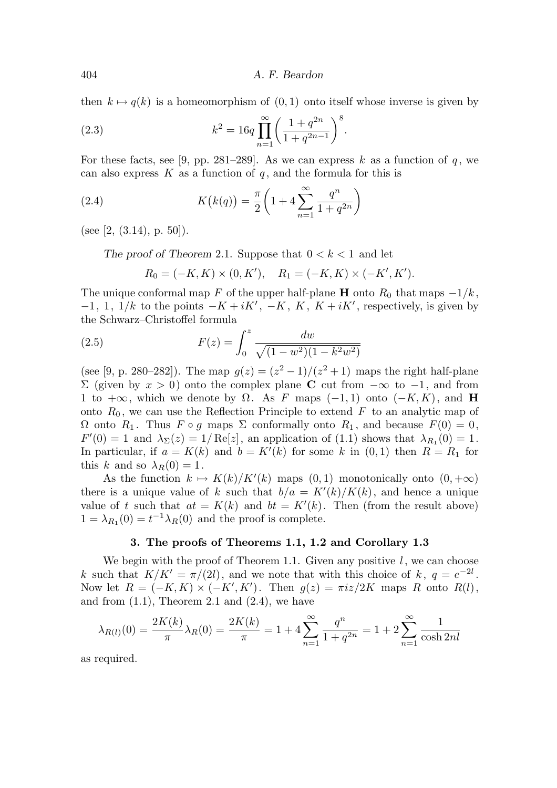404 A. F. Beardon

then  $k \mapsto q(k)$  is a homeomorphism of  $(0, 1)$  onto itself whose inverse is given by

(2.3) 
$$
k^{2} = 16q \prod_{n=1}^{\infty} \left( \frac{1+q^{2n}}{1+q^{2n-1}} \right)^{8}.
$$

For these facts, see [9, pp. 281–289]. As we can express k as a function of q, we can also express  $K$  as a function of  $q$ , and the formula for this is

(2.4) 
$$
K(k(q)) = \frac{\pi}{2} \left( 1 + 4 \sum_{n=1}^{\infty} \frac{q^n}{1 + q^{2n}} \right)
$$

(see [2,  $(3.14)$ , p. 50]).

The proof of Theorem 2.1. Suppose that  $0 < k < 1$  and let

$$
R_0 = (-K, K) \times (0, K'), \quad R_1 = (-K, K) \times (-K', K').
$$

The unique conformal map F of the upper half-plane H onto  $R_0$  that maps  $-1/k$ ,  $-1, 1, 1/k$  to the points  $-K + iK', -K, K, K + iK'$ , respectively, is given by the Schwarz–Christoffel formula

(2.5) 
$$
F(z) = \int_0^z \frac{dw}{\sqrt{(1 - w^2)(1 - k^2 w^2)}}
$$

(see [9, p. 280–282]). The map  $g(z) = (z^2 - 1)/(z^2 + 1)$  maps the right half-plane Σ (given by  $x > 0$ ) onto the complex plane **C** cut from  $-\infty$  to  $-1$ , and from 1 to  $+\infty$ , which we denote by  $\Omega$ . As F maps (-1,1) onto (-K, K), and H onto  $R_0$ , we can use the Reflection Principle to extend F to an analytic map of  $\Omega$  onto  $R_1$ . Thus  $F \circ g$  maps  $\Sigma$  conformally onto  $R_1$ , and because  $F(0) = 0$ ,  $F'(0) = 1$  and  $\lambda_{\Sigma}(z) = 1/\text{Re}[z]$ , an application of (1.1) shows that  $\lambda_{R_1}(0) = 1$ . In particular, if  $a = K(k)$  and  $b = K'(k)$  for some k in  $(0, 1)$  then  $R = R_1$  for this k and so  $\lambda_R(0) = 1$ .

As the function  $k \mapsto K(k)/K'(k)$  maps  $(0, 1)$  monotonically onto  $(0, +\infty)$ there is a unique value of k such that  $b/a = K'(k)/K(k)$ , and hence a unique value of t such that  $at = K(k)$  and  $bt = K'(k)$ . Then (from the result above)  $1 = \lambda_{R_1}(0) = t^{-1} \lambda_R(0)$  and the proof is complete.

# 3. The proofs of Theorems 1.1, 1.2 and Corollary 1.3

We begin with the proof of Theorem 1.1. Given any positive  $l$ , we can choose k such that  $K/K' = \pi/(2l)$ , and we note that with this choice of k,  $q = e^{-2l}$ . Now let  $R = (-K, K) \times (-K', K')$ . Then  $g(z) = \pi i z / 2K$  maps R onto  $R(l)$ , and from  $(1.1)$ , Theorem 2.1 and  $(2.4)$ , we have

$$
\lambda_{R(l)}(0) = \frac{2K(k)}{\pi} \lambda_R(0) = \frac{2K(k)}{\pi} = 1 + 4 \sum_{n=1}^{\infty} \frac{q^n}{1 + q^{2n}} = 1 + 2 \sum_{n=1}^{\infty} \frac{1}{\cosh 2n l}
$$

as required.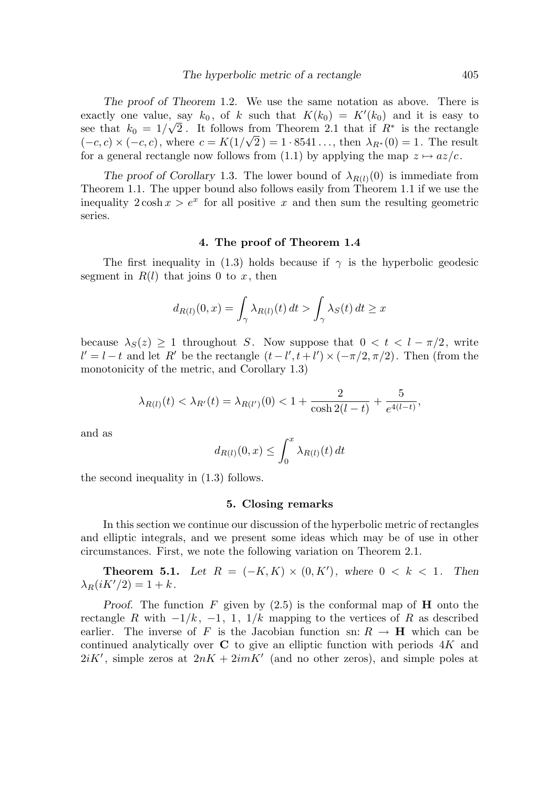The proof of Theorem 1.2. We use the same notation as above. There is exactly one value, say  $k_0$ , of k such that  $K(k_0) = K'(k_0)$  and it is easy to see that  $k_0 = 1/\sqrt{2}$ . It follows from Theorem 2.1 that if  $R^*$  is the rectangle  $(-c, c) \times (-c, c)$ , where  $c = K(1/\sqrt{2}) = 1.8541...$ , then  $\lambda_{R^*}(0) = 1$ . The result for a general rectangle now follows from (1.1) by applying the map  $z \mapsto az/c$ .

The proof of Corollary 1.3. The lower bound of  $\lambda_{R(l)}(0)$  is immediate from Theorem 1.1. The upper bound also follows easily from Theorem 1.1 if we use the inequality  $2 \cosh x > e^x$  for all positive x and then sum the resulting geometric series.

### 4. The proof of Theorem 1.4

The first inequality in (1.3) holds because if  $\gamma$  is the hyperbolic geodesic segment in  $R(l)$  that joins 0 to x, then

$$
d_{R(l)}(0,x) = \int_{\gamma} \lambda_{R(l)}(t) dt > \int_{\gamma} \lambda_S(t) dt \ge x
$$

because  $\lambda_S(z) > 1$  throughout S. Now suppose that  $0 < t < l - \pi/2$ , write  $l' = l - t$  and let R' be the rectangle  $(t - l', t + l') \times (-\pi/2, \pi/2)$ . Then (from the monotonicity of the metric, and Corollary 1.3)

$$
\lambda_{R(l)}(t) < \lambda_{R'}(t) = \lambda_{R(l')}(0) < 1 + \frac{2}{\cosh 2(l-t)} + \frac{5}{e^{4(l-t)}},
$$

and as

$$
d_{R(l)}(0,x) \le \int_0^x \lambda_{R(l)}(t) dt
$$

the second inequality in (1.3) follows.

#### 5. Closing remarks

In this section we continue our discussion of the hyperbolic metric of rectangles and elliptic integrals, and we present some ideas which may be of use in other circumstances. First, we note the following variation on Theorem 2.1.

**Theorem 5.1.** Let  $R = (-K, K) \times (0, K')$ , where  $0 < k < 1$ . Then  $\lambda_R(iK'/2) = 1 + k$ .

Proof. The function F given by  $(2.5)$  is the conformal map of **H** onto the rectangle R with  $-1/k$ ,  $-1$ , 1,  $1/k$  mapping to the vertices of R as described earlier. The inverse of F is the Jacobian function sn:  $R \rightarrow H$  which can be continued analytically over  $C$  to give an elliptic function with periods  $4K$  and  $2iK'$ , simple zeros at  $2nK + 2imK'$  (and no other zeros), and simple poles at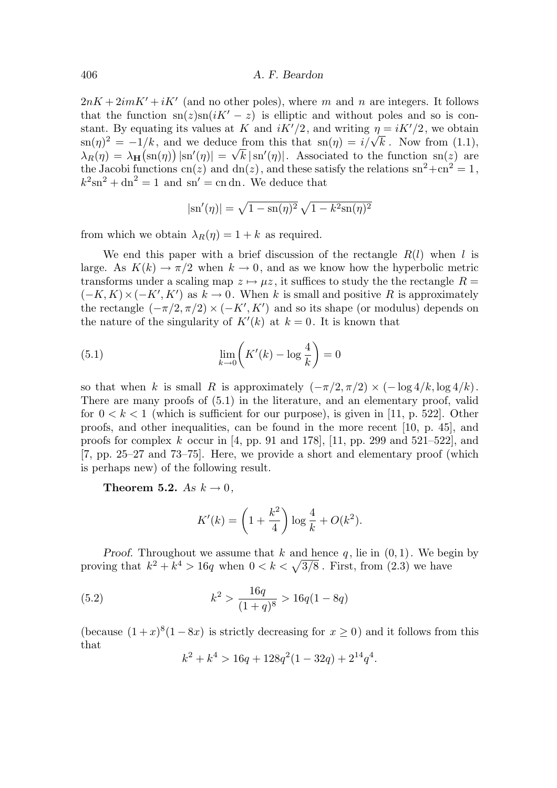$2nK + 2imK' + iK'$  (and no other poles), where m and n are integers. It follows that the function  $\text{sn}(z)\text{sn}(iK'-z)$  is elliptic and without poles and so is constant. By equating its values at K and  $iK'/2$ , and writing  $\eta = iK'/2$ , we obtain  $\sin(\eta)^2 = -1/k$ , and we deduce from this that  $\sin(\eta) = i/\sqrt{k}$ . Now from (1.1),  $\lambda_R(\eta) = \lambda_H(\text{sn}(\eta)) |\text{sn}'(\eta)| = \sqrt{k} |\text{sn}'(\eta)|$ . Associated to the function sn(z) are the Jacobi functions cn(z) and dn(z), and these satisfy the relations  $sn^2 + cn^2 = 1$ ,  $k^2 \text{sn}^2 + \text{dn}^2 = 1$  and  $\text{sn}' = \text{cn dn}$ . We deduce that

$$
|\mathrm{sn}'(\eta)| = \sqrt{1 - \mathrm{sn}(\eta)^2} \sqrt{1 - k^2 \mathrm{sn}(\eta)^2}
$$

from which we obtain  $\lambda_R(\eta) = 1 + k$  as required.

We end this paper with a brief discussion of the rectangle  $R(l)$  when l is large. As  $K(k) \to \pi/2$  when  $k \to 0$ , and as we know how the hyperbolic metric transforms under a scaling map  $z \mapsto \mu z$ , it suffices to study the the rectangle  $R =$  $(-K, K) \times (-K', K')$  as  $k \to 0$ . When k is small and positive R is approximately the rectangle  $(-\pi/2, \pi/2) \times (-K', K')$  and so its shape (or modulus) depends on the nature of the singularity of  $K'(k)$  at  $k = 0$ . It is known that

(5.1) 
$$
\lim_{k \to 0} \left( K'(k) - \log \frac{4}{k} \right) = 0
$$

so that when k is small R is approximately  $(-\pi/2, \pi/2) \times (-\log 4/k, \log 4/k)$ . There are many proofs of (5.1) in the literature, and an elementary proof, valid for  $0 < k < 1$  (which is sufficient for our purpose), is given in [11, p. 522]. Other proofs, and other inequalities, can be found in the more recent [10, p. 45], and proofs for complex k occur in [4, pp. 91 and 178], [11, pp. 299 and 521–522], and [7, pp. 25–27 and 73–75]. Here, we provide a short and elementary proof (which is perhaps new) of the following result.

Theorem 5.2. As  $k \to 0$ ,

$$
K'(k) = \left(1 + \frac{k^2}{4}\right) \log \frac{4}{k} + O(k^2).
$$

Proof. Throughout we assume that k and hence q, lie in  $(0, 1)$ . We begin by proving that  $k^2 + k^4 > 16q$  when  $0 < k < \sqrt{3/8}$ . First, from (2.3) we have

(5.2) 
$$
k^2 > \frac{16q}{(1+q)^8} > 16q(1-8q)
$$

(because  $(1+x)^8(1-8x)$  is strictly decreasing for  $x \ge 0$ ) and it follows from this that

$$
k^2 + k^4 > 16q + 128q^2(1 - 32q) + 2^{14}q^4.
$$